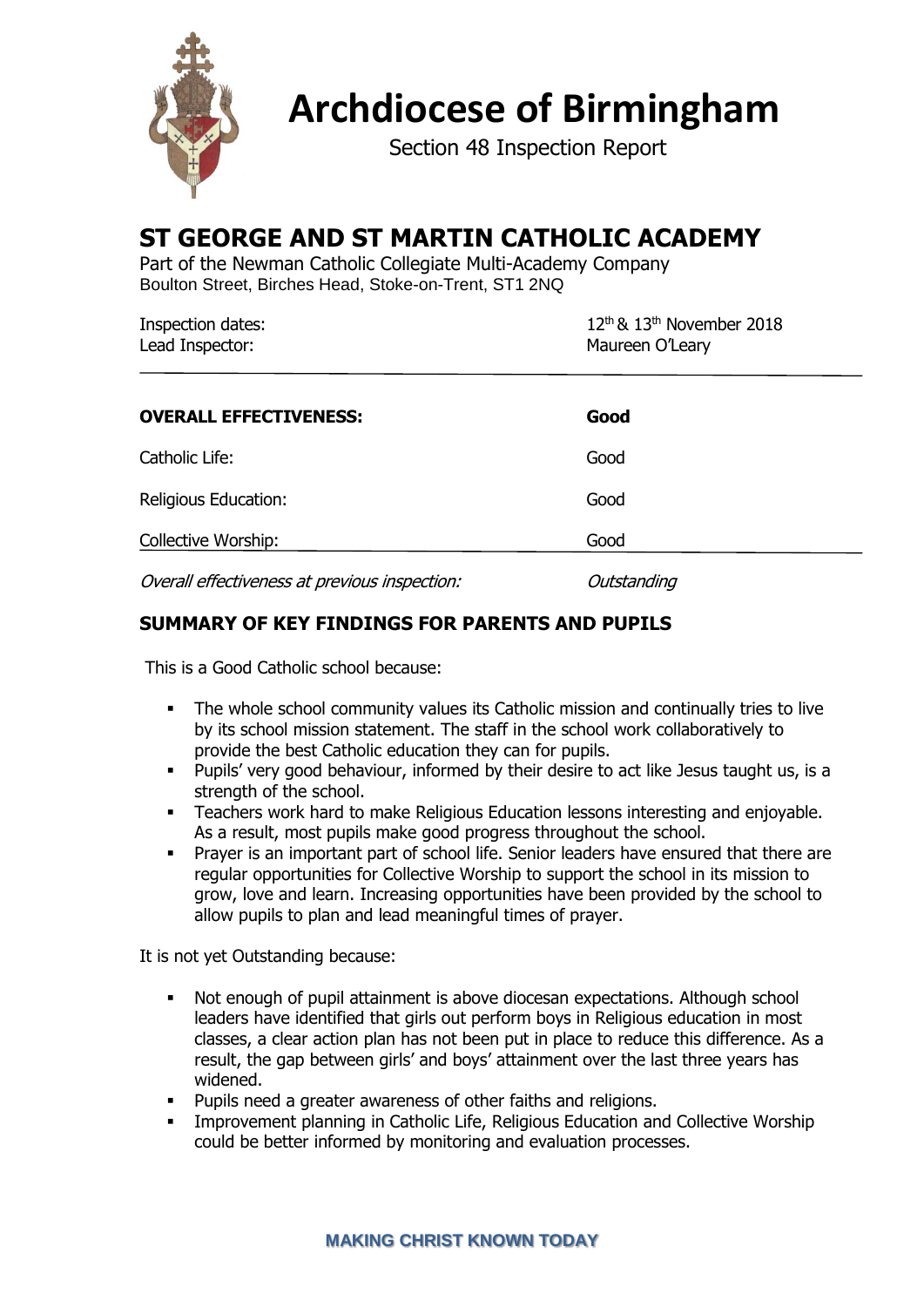

**Archdiocese of Birmingham**

Section 48 Inspection Report

# **ST GEORGE AND ST MARTIN CATHOLIC ACADEMY**

Part of the Newman Catholic Collegiate Multi-Academy Company Boulton Street, Birches Head, Stoke-on-Trent, ST1 2NQ

| Inspection dates:<br>Lead Inspector: | $12th$ & $13th$ November 2018<br>Maureen O'Leary |
|--------------------------------------|--------------------------------------------------|
| <b>OVERALL EFFECTIVENESS:</b>        | Good                                             |
| Catholic Life:                       | Good                                             |
| Religious Education:                 | Good                                             |
| Collective Worship:                  | Good                                             |

Overall effectiveness at previous inspection: Outstanding

# **SUMMARY OF KEY FINDINGS FOR PARENTS AND PUPILS**

This is a Good Catholic school because:

- **•** The whole school community values its Catholic mission and continually tries to live by its school mission statement. The staff in the school work collaboratively to provide the best Catholic education they can for pupils.
- Pupils' very good behaviour, informed by their desire to act like Jesus taught us, is a strength of the school.
- **EXEC** Teachers work hard to make Religious Education lessons interesting and enjoyable. As a result, most pupils make good progress throughout the school.
- **Prayer is an important part of school life. Senior leaders have ensured that there are** regular opportunities for Collective Worship to support the school in its mission to grow, love and learn. Increasing opportunities have been provided by the school to allow pupils to plan and lead meaningful times of prayer.

It is not yet Outstanding because:

- Not enough of pupil attainment is above diocesan expectations. Although school leaders have identified that girls out perform boys in Religious education in most classes, a clear action plan has not been put in place to reduce this difference. As a result, the gap between girls' and boys' attainment over the last three years has widened.
- Pupils need a greater awareness of other faiths and religions.
- **EXEDENT Improvement planning in Catholic Life, Religious Education and Collective Worship** could be better informed by monitoring and evaluation processes.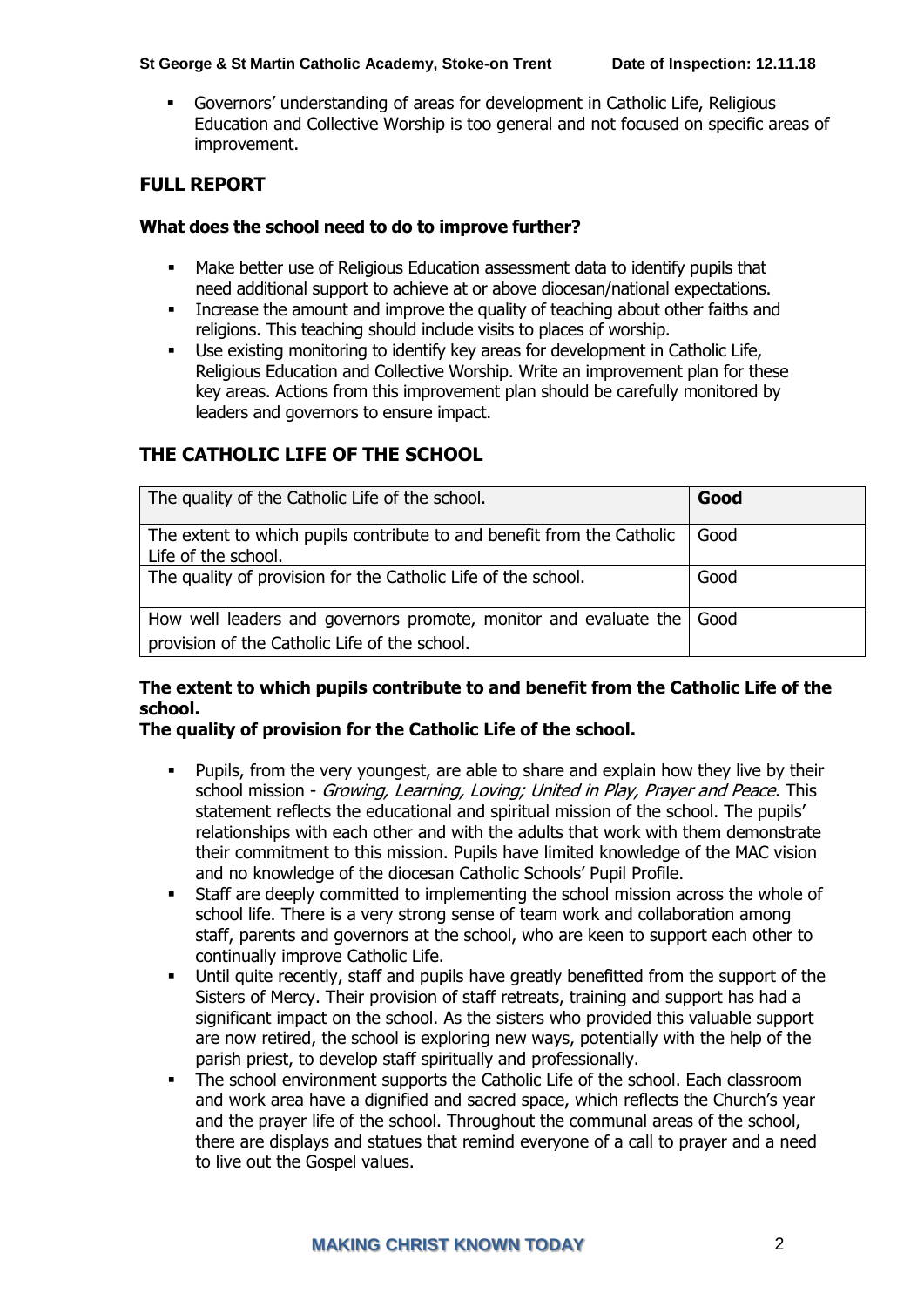### **St George & St Martin Catholic Academy, Stoke-on Trent Date of Inspection: 12.11.18**

▪ Governors' understanding of areas for development in Catholic Life, Religious Education and Collective Worship is too general and not focused on specific areas of improvement.

### **FULL REPORT**

#### **What does the school need to do to improve further?**

- Make better use of Religious Education assessment data to identify pupils that need additional support to achieve at or above diocesan/national expectations.
- Increase the amount and improve the quality of teaching about other faiths and religions. This teaching should include visits to places of worship.
- Use existing monitoring to identify key areas for development in Catholic Life, Religious Education and Collective Worship. Write an improvement plan for these key areas. Actions from this improvement plan should be carefully monitored by leaders and governors to ensure impact.

### **THE CATHOLIC LIFE OF THE SCHOOL**

| The quality of the Catholic Life of the school.                                                                   | Good   |
|-------------------------------------------------------------------------------------------------------------------|--------|
| The extent to which pupils contribute to and benefit from the Catholic<br>Life of the school.                     | Good   |
| The quality of provision for the Catholic Life of the school.                                                     | Good   |
| How well leaders and governors promote, monitor and evaluate the<br>provision of the Catholic Life of the school. | l Good |

### **The extent to which pupils contribute to and benefit from the Catholic Life of the school.**

### **The quality of provision for the Catholic Life of the school.**

- Pupils, from the very youngest, are able to share and explain how they live by their school mission - Growing, Learning, Loving; United in Play, Prayer and Peace. This statement reflects the educational and spiritual mission of the school. The pupils' relationships with each other and with the adults that work with them demonstrate their commitment to this mission. Pupils have limited knowledge of the MAC vision and no knowledge of the diocesan Catholic Schools' Pupil Profile.
- Staff are deeply committed to implementing the school mission across the whole of school life. There is a very strong sense of team work and collaboration among staff, parents and governors at the school, who are keen to support each other to continually improve Catholic Life.
- Until quite recently, staff and pupils have greatly benefitted from the support of the Sisters of Mercy. Their provision of staff retreats, training and support has had a significant impact on the school. As the sisters who provided this valuable support are now retired, the school is exploring new ways, potentially with the help of the parish priest, to develop staff spiritually and professionally.
- The school environment supports the Catholic Life of the school. Each classroom and work area have a dignified and sacred space, which reflects the Church's year and the prayer life of the school. Throughout the communal areas of the school, there are displays and statues that remind everyone of a call to prayer and a need to live out the Gospel values.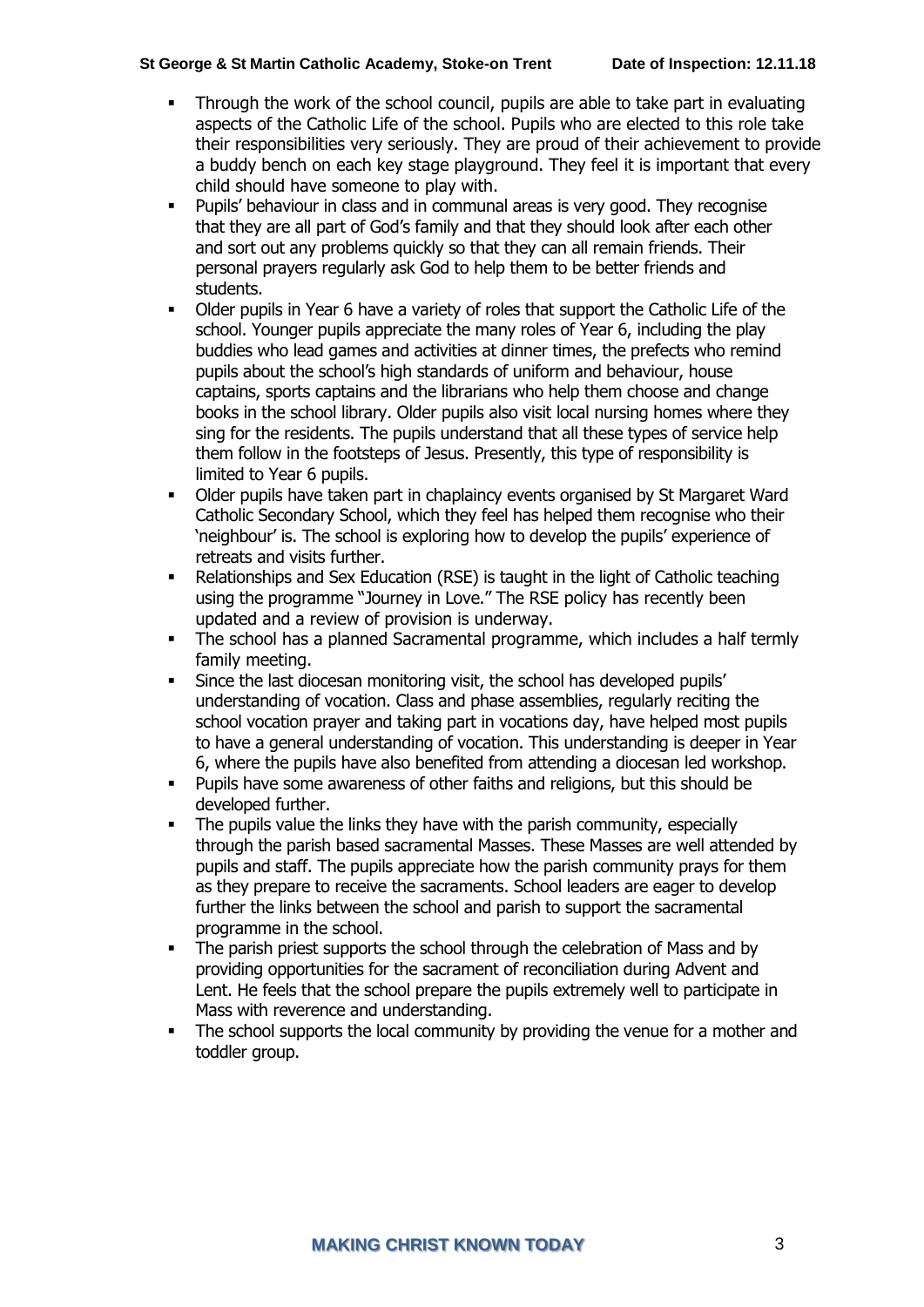### **St George & St Martin Catholic Academy, Stoke-on Trent Date of Inspection: 12.11.18**

- Through the work of the school council, pupils are able to take part in evaluating aspects of the Catholic Life of the school. Pupils who are elected to this role take their responsibilities very seriously. They are proud of their achievement to provide a buddy bench on each key stage playground. They feel it is important that every child should have someone to play with.
- Pupils' behaviour in class and in communal areas is very good. They recognise that they are all part of God's family and that they should look after each other and sort out any problems quickly so that they can all remain friends. Their personal prayers regularly ask God to help them to be better friends and students.
- Older pupils in Year 6 have a variety of roles that support the Catholic Life of the school. Younger pupils appreciate the many roles of Year 6, including the play buddies who lead games and activities at dinner times, the prefects who remind pupils about the school's high standards of uniform and behaviour, house captains, sports captains and the librarians who help them choose and change books in the school library. Older pupils also visit local nursing homes where they sing for the residents. The pupils understand that all these types of service help them follow in the footsteps of Jesus. Presently, this type of responsibility is limited to Year 6 pupils.
- Older pupils have taken part in chaplaincy events organised by St Margaret Ward Catholic Secondary School, which they feel has helped them recognise who their 'neighbour' is. The school is exploring how to develop the pupils' experience of retreats and visits further.
- Relationships and Sex Education (RSE) is taught in the light of Catholic teaching using the programme "Journey in Love." The RSE policy has recently been updated and a review of provision is underway.
- The school has a planned Sacramental programme, which includes a half termly family meeting.
- Since the last diocesan monitoring visit, the school has developed pupils' understanding of vocation. Class and phase assemblies, regularly reciting the school vocation prayer and taking part in vocations day, have helped most pupils to have a general understanding of vocation. This understanding is deeper in Year 6, where the pupils have also benefited from attending a diocesan led workshop.
- Pupils have some awareness of other faiths and religions, but this should be developed further.
- The pupils value the links they have with the parish community, especially through the parish based sacramental Masses. These Masses are well attended by pupils and staff. The pupils appreciate how the parish community prays for them as they prepare to receive the sacraments. School leaders are eager to develop further the links between the school and parish to support the sacramental programme in the school.
- The parish priest supports the school through the celebration of Mass and by providing opportunities for the sacrament of reconciliation during Advent and Lent. He feels that the school prepare the pupils extremely well to participate in Mass with reverence and understanding.
- The school supports the local community by providing the venue for a mother and toddler group.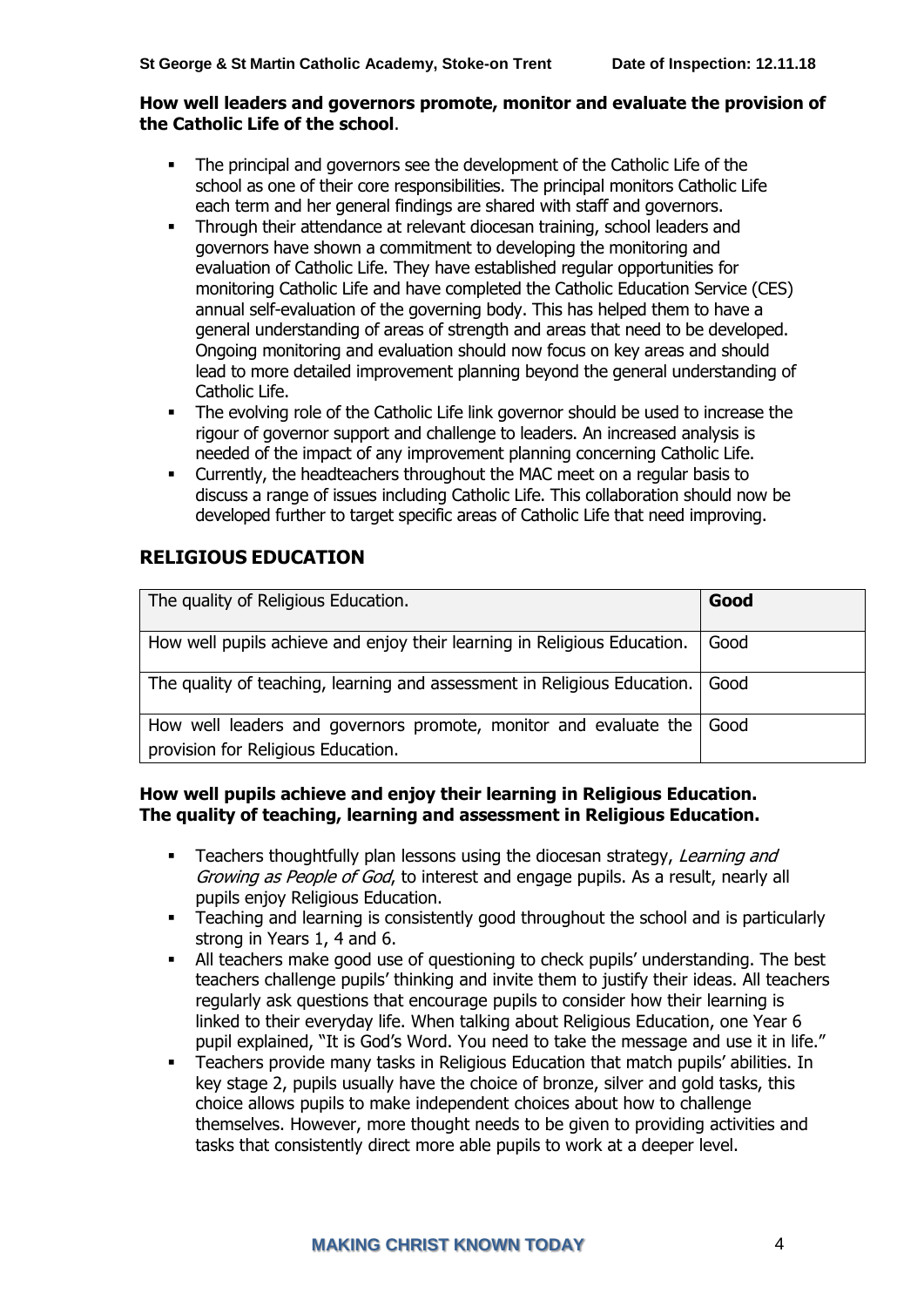### **How well leaders and governors promote, monitor and evaluate the provision of the Catholic Life of the school**.

- The principal and governors see the development of the Catholic Life of the school as one of their core responsibilities. The principal monitors Catholic Life each term and her general findings are shared with staff and governors.
- Through their attendance at relevant diocesan training, school leaders and governors have shown a commitment to developing the monitoring and evaluation of Catholic Life. They have established regular opportunities for monitoring Catholic Life and have completed the Catholic Education Service (CES) annual self-evaluation of the governing body. This has helped them to have a general understanding of areas of strength and areas that need to be developed. Ongoing monitoring and evaluation should now focus on key areas and should lead to more detailed improvement planning beyond the general understanding of Catholic Life.
- **•** The evolving role of the Catholic Life link governor should be used to increase the rigour of governor support and challenge to leaders. An increased analysis is needed of the impact of any improvement planning concerning Catholic Life.
- **•** Currently, the headteachers throughout the MAC meet on a regular basis to discuss a range of issues including Catholic Life. This collaboration should now be developed further to target specific areas of Catholic Life that need improving.

# **RELIGIOUS EDUCATION**

| The quality of Religious Education.                                                                    | Good |
|--------------------------------------------------------------------------------------------------------|------|
| How well pupils achieve and enjoy their learning in Religious Education.                               | Good |
| The quality of teaching, learning and assessment in Religious Education.   Good                        |      |
| How well leaders and governors promote, monitor and evaluate the<br>provision for Religious Education. | Good |

### **How well pupils achieve and enjoy their learning in Religious Education. The quality of teaching, learning and assessment in Religious Education.**

- Teachers thoughtfully plan lessons using the diocesan strategy, Learning and Growing as People of God, to interest and engage pupils. As a result, nearly all pupils enjoy Religious Education.
- **•** Teaching and learning is consistently good throughout the school and is particularly strong in Years 1, 4 and 6.
- All teachers make good use of questioning to check pupils' understanding. The best teachers challenge pupils' thinking and invite them to justify their ideas. All teachers regularly ask questions that encourage pupils to consider how their learning is linked to their everyday life. When talking about Religious Education, one Year 6 pupil explained, "It is God's Word. You need to take the message and use it in life."
- Teachers provide many tasks in Religious Education that match pupils' abilities. In key stage 2, pupils usually have the choice of bronze, silver and gold tasks, this choice allows pupils to make independent choices about how to challenge themselves. However, more thought needs to be given to providing activities and tasks that consistently direct more able pupils to work at a deeper level.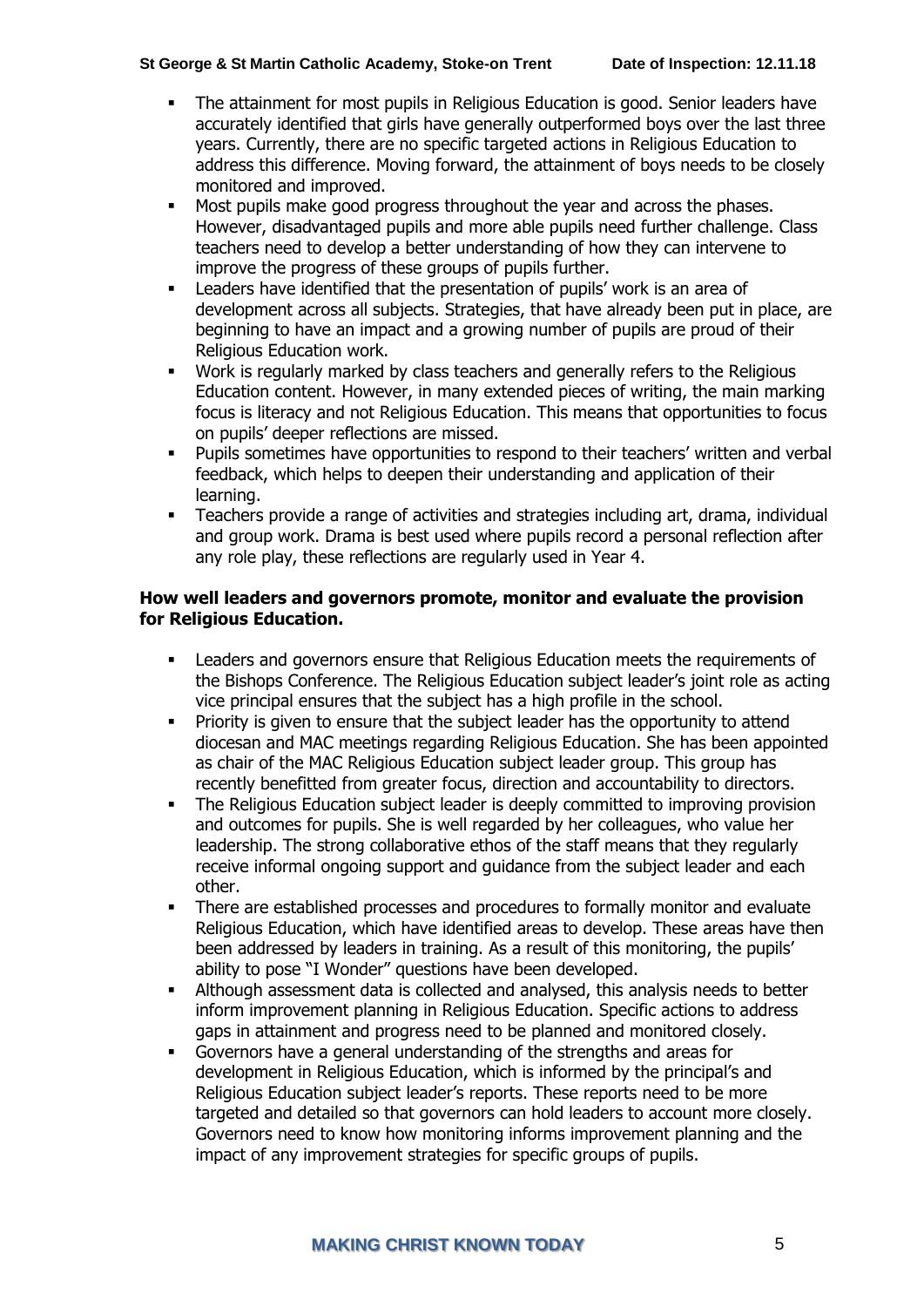#### **St George & St Martin Catholic Academy, Stoke-on Trent Date of Inspection: 12.11.18**

- The attainment for most pupils in Religious Education is good. Senior leaders have accurately identified that girls have generally outperformed boys over the last three years. Currently, there are no specific targeted actions in Religious Education to address this difference. Moving forward, the attainment of boys needs to be closely monitored and improved.
- Most pupils make good progress throughout the year and across the phases. However, disadvantaged pupils and more able pupils need further challenge. Class teachers need to develop a better understanding of how they can intervene to improve the progress of these groups of pupils further.
- **EXECTE FIGHTS** Leaders have identified that the presentation of pupils' work is an area of development across all subjects. Strategies, that have already been put in place, are beginning to have an impact and a growing number of pupils are proud of their Religious Education work.
- Work is regularly marked by class teachers and generally refers to the Religious Education content. However, in many extended pieces of writing, the main marking focus is literacy and not Religious Education. This means that opportunities to focus on pupils' deeper reflections are missed.
- Pupils sometimes have opportunities to respond to their teachers' written and verbal feedback, which helps to deepen their understanding and application of their learning.
- Teachers provide a range of activities and strategies including art, drama, individual and group work. Drama is best used where pupils record a personal reflection after any role play, these reflections are regularly used in Year 4.

### **How well leaders and governors promote, monitor and evaluate the provision for Religious Education.**

- Leaders and governors ensure that Religious Education meets the requirements of the Bishops Conference. The Religious Education subject leader's joint role as acting vice principal ensures that the subject has a high profile in the school.
- **•** Priority is given to ensure that the subject leader has the opportunity to attend diocesan and MAC meetings regarding Religious Education. She has been appointed as chair of the MAC Religious Education subject leader group. This group has recently benefitted from greater focus, direction and accountability to directors.
- **•** The Religious Education subject leader is deeply committed to improving provision and outcomes for pupils. She is well regarded by her colleagues, who value her leadership. The strong collaborative ethos of the staff means that they regularly receive informal ongoing support and guidance from the subject leader and each other.
- **•** There are established processes and procedures to formally monitor and evaluate Religious Education, which have identified areas to develop. These areas have then been addressed by leaders in training. As a result of this monitoring, the pupils' ability to pose "I Wonder" questions have been developed.
- Although assessment data is collected and analysed, this analysis needs to better inform improvement planning in Religious Education. Specific actions to address gaps in attainment and progress need to be planned and monitored closely.
- Governors have a general understanding of the strengths and areas for development in Religious Education, which is informed by the principal's and Religious Education subject leader's reports. These reports need to be more targeted and detailed so that governors can hold leaders to account more closely. Governors need to know how monitoring informs improvement planning and the impact of any improvement strategies for specific groups of pupils.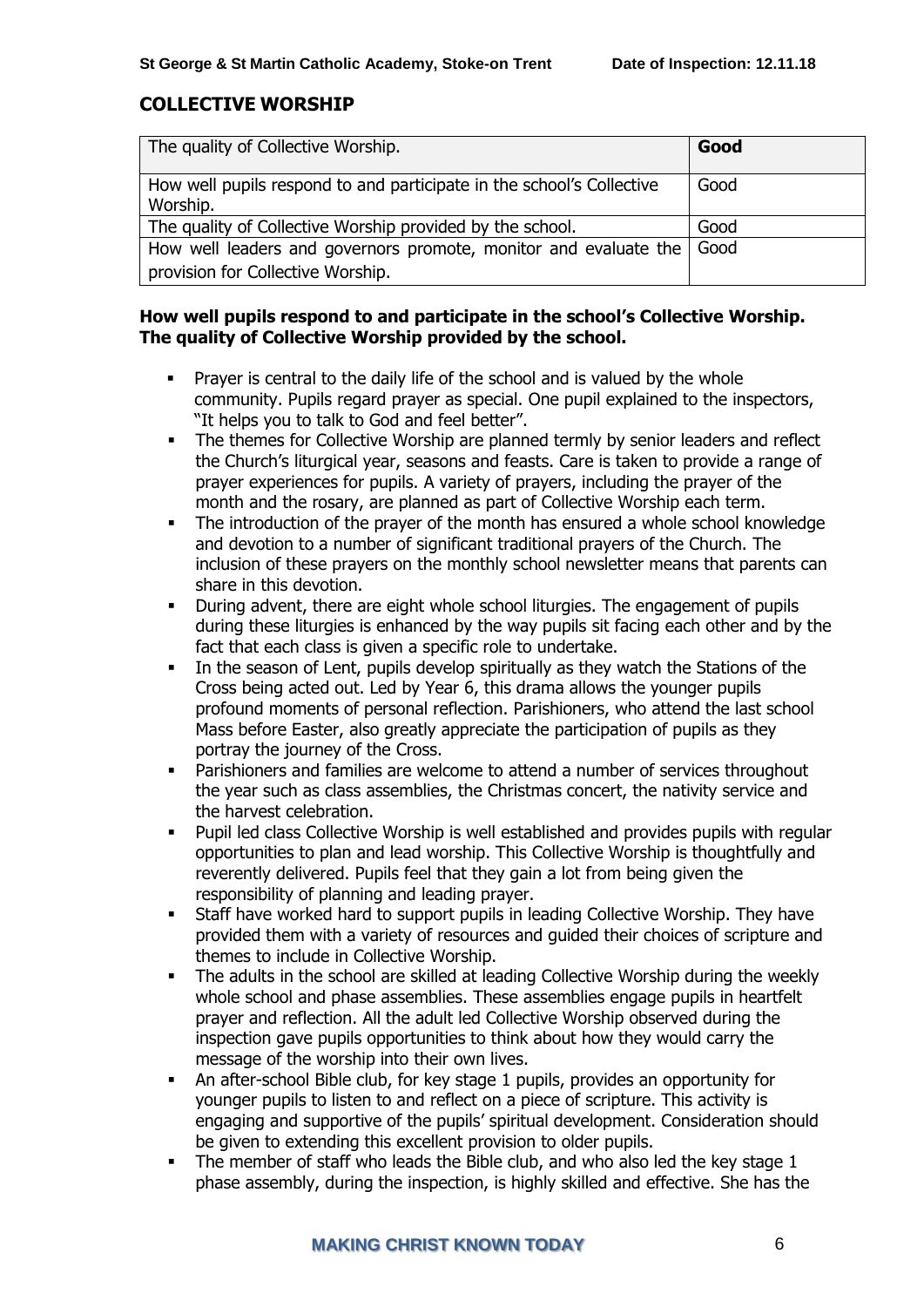### **COLLECTIVE WORSHIP**

| The quality of Collective Worship.                                                | Good |
|-----------------------------------------------------------------------------------|------|
| How well pupils respond to and participate in the school's Collective<br>Worship. | Good |
| The quality of Collective Worship provided by the school.                         | Good |
| How well leaders and governors promote, monitor and evaluate the                  | Good |
| provision for Collective Worship.                                                 |      |

### **How well pupils respond to and participate in the school's Collective Worship. The quality of Collective Worship provided by the school.**

- Prayer is central to the daily life of the school and is valued by the whole community. Pupils regard prayer as special. One pupil explained to the inspectors, "It helps you to talk to God and feel better".
- **•** The themes for Collective Worship are planned termly by senior leaders and reflect the Church's liturgical year, seasons and feasts. Care is taken to provide a range of prayer experiences for pupils. A variety of prayers, including the prayer of the month and the rosary, are planned as part of Collective Worship each term.
- The introduction of the prayer of the month has ensured a whole school knowledge and devotion to a number of significant traditional prayers of the Church. The inclusion of these prayers on the monthly school newsletter means that parents can share in this devotion.
- **•** During advent, there are eight whole school liturgies. The engagement of pupils during these liturgies is enhanced by the way pupils sit facing each other and by the fact that each class is given a specific role to undertake.
- **•** In the season of Lent, pupils develop spiritually as they watch the Stations of the Cross being acted out. Led by Year 6, this drama allows the younger pupils profound moments of personal reflection. Parishioners, who attend the last school Mass before Easter, also greatly appreciate the participation of pupils as they portray the journey of the Cross.
- Parishioners and families are welcome to attend a number of services throughout the year such as class assemblies, the Christmas concert, the nativity service and the harvest celebration.
- Pupil led class Collective Worship is well established and provides pupils with regular opportunities to plan and lead worship. This Collective Worship is thoughtfully and reverently delivered. Pupils feel that they gain a lot from being given the responsibility of planning and leading prayer.
- Staff have worked hard to support pupils in leading Collective Worship. They have provided them with a variety of resources and guided their choices of scripture and themes to include in Collective Worship.
- The adults in the school are skilled at leading Collective Worship during the weekly whole school and phase assemblies. These assemblies engage pupils in heartfelt prayer and reflection. All the adult led Collective Worship observed during the inspection gave pupils opportunities to think about how they would carry the message of the worship into their own lives.
- An after-school Bible club, for key stage 1 pupils, provides an opportunity for younger pupils to listen to and reflect on a piece of scripture. This activity is engaging and supportive of the pupils' spiritual development. Consideration should be given to extending this excellent provision to older pupils.
- The member of staff who leads the Bible club, and who also led the key stage 1 phase assembly, during the inspection, is highly skilled and effective. She has the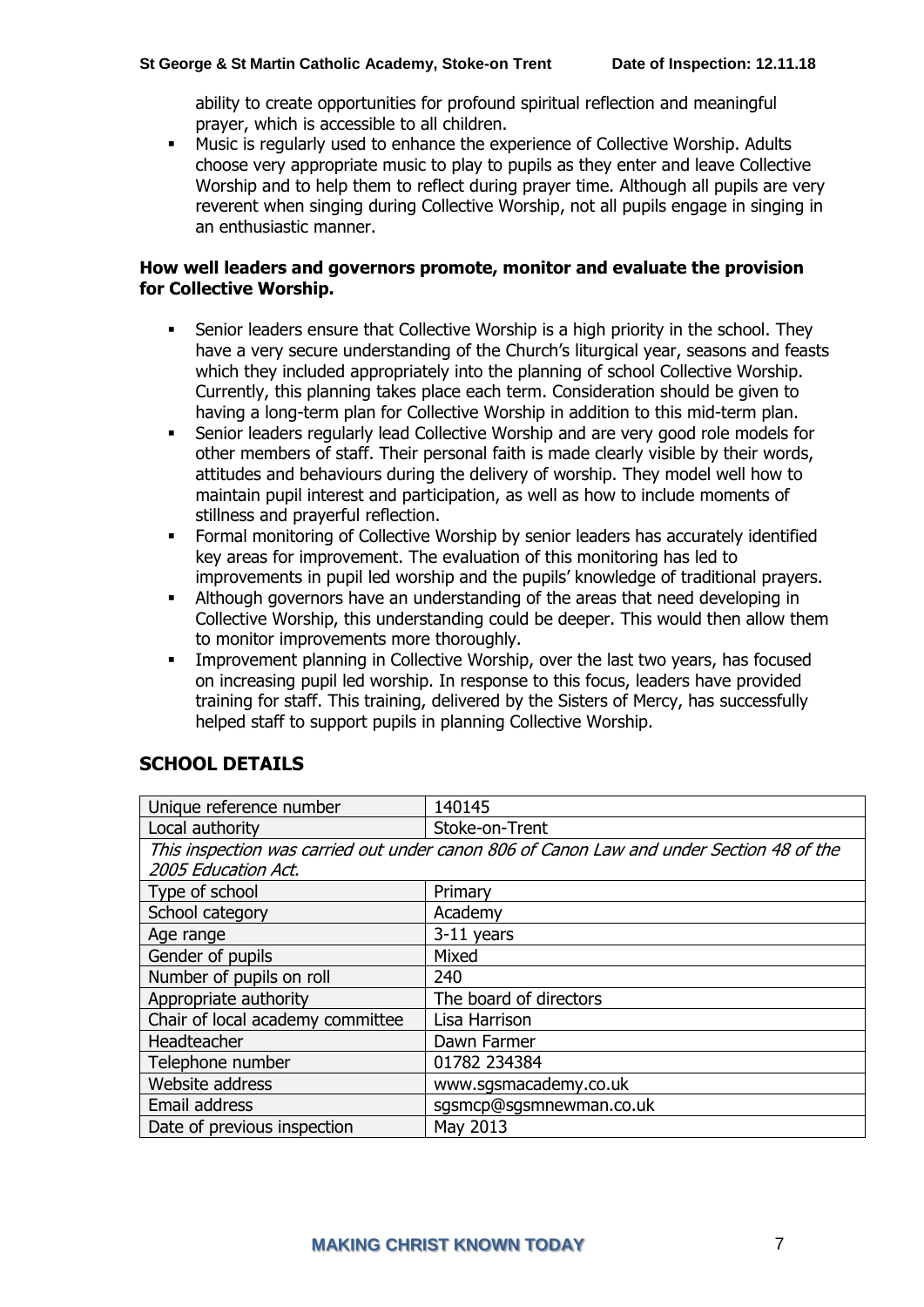ability to create opportunities for profound spiritual reflection and meaningful prayer, which is accessible to all children.

▪ Music is regularly used to enhance the experience of Collective Worship. Adults choose very appropriate music to play to pupils as they enter and leave Collective Worship and to help them to reflect during prayer time. Although all pupils are very reverent when singing during Collective Worship, not all pupils engage in singing in an enthusiastic manner.

### **How well leaders and governors promote, monitor and evaluate the provision for Collective Worship.**

- Senior leaders ensure that Collective Worship is a high priority in the school. They have a very secure understanding of the Church's liturgical year, seasons and feasts which they included appropriately into the planning of school Collective Worship. Currently, this planning takes place each term. Consideration should be given to having a long-term plan for Collective Worship in addition to this mid-term plan.
- Senior leaders regularly lead Collective Worship and are very good role models for other members of staff. Their personal faith is made clearly visible by their words, attitudes and behaviours during the delivery of worship. They model well how to maintain pupil interest and participation, as well as how to include moments of stillness and prayerful reflection.
- Formal monitoring of Collective Worship by senior leaders has accurately identified key areas for improvement. The evaluation of this monitoring has led to improvements in pupil led worship and the pupils' knowledge of traditional prayers.
- Although governors have an understanding of the areas that need developing in Collective Worship, this understanding could be deeper. This would then allow them to monitor improvements more thoroughly.
- Improvement planning in Collective Worship, over the last two years, has focused on increasing pupil led worship. In response to this focus, leaders have provided training for staff. This training, delivered by the Sisters of Mercy, has successfully helped staff to support pupils in planning Collective Worship.

| Unique reference number                                                                  | 140145                  |
|------------------------------------------------------------------------------------------|-------------------------|
| Local authority                                                                          | Stoke-on-Trent          |
| This inspection was carried out under canon 806 of Canon Law and under Section 48 of the |                         |
| 2005 Education Act.                                                                      |                         |
| Type of school                                                                           | Primary                 |
| School category                                                                          | Academy                 |
| Age range                                                                                | 3-11 years              |
| Gender of pupils                                                                         | Mixed                   |
| Number of pupils on roll                                                                 | 240                     |
| Appropriate authority                                                                    | The board of directors  |
| Chair of local academy committee                                                         | Lisa Harrison           |
| Headteacher                                                                              | Dawn Farmer             |
| Telephone number                                                                         | 01782 234384            |
| Website address                                                                          | www.sgsmacademy.co.uk   |
| Email address                                                                            | sgsmcp@sgsmnewman.co.uk |
| Date of previous inspection                                                              | May 2013                |

# **SCHOOL DETAILS**